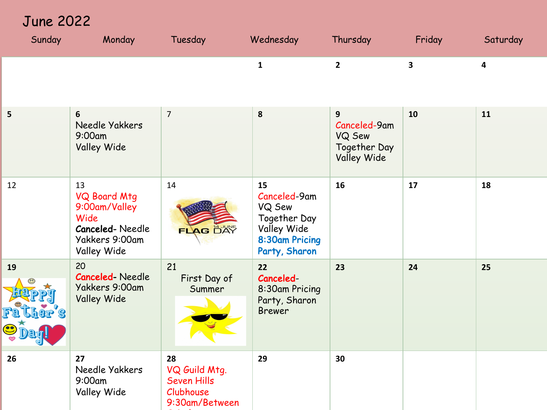June 2022

| Sunday          | Monday                                                                                                        | Tuesday                                                                  | Wednesday                                                                                      | Thursday                                                   | Friday                  | Saturday                |
|-----------------|---------------------------------------------------------------------------------------------------------------|--------------------------------------------------------------------------|------------------------------------------------------------------------------------------------|------------------------------------------------------------|-------------------------|-------------------------|
|                 |                                                                                                               |                                                                          | $\mathbf{1}$                                                                                   | $\overline{2}$                                             | $\overline{\mathbf{3}}$ | $\overline{\mathbf{4}}$ |
| 5               | $6\phantom{1}$<br>Needle Yakkers<br>9:00am<br>Valley Wide                                                     | $\overline{7}$                                                           | 8                                                                                              | 9<br>Canceled-9am<br>VQ Sew<br>Together Day<br>Valley Wide | 10                      | 11                      |
| 12              | 13<br><b>VQ Board Mtg</b><br>9:00am/Valley<br>Wide<br><b>Canceled-Needle</b><br>Yakkers 9:00am<br>Valley Wide | 14<br>FLAG DAY                                                           | 15<br>Canceled-9am<br>VQ Sew<br>Together Day<br>Valley Wide<br>8:30am Pricing<br>Party, Sharon | 16                                                         | 17                      | 18                      |
| 19<br>$\bullet$ | 20<br><b>Canceled-Needle</b><br>Yakkers 9:00am<br><b>Valley Wide</b>                                          | 21<br>First Day of<br>Summer                                             | 22<br>Canceled-<br>8:30am Pricing<br>Party, Sharon<br><b>Brewer</b>                            | 23                                                         | 24                      | 25                      |
| 26              | 27<br>Needle Yakkers<br>9:00am<br>Valley Wide                                                                 | 28<br>VQ Guild Mtg.<br><b>Seven Hills</b><br>Clubhouse<br>9:30am/Between | 29                                                                                             | 30                                                         |                         |                         |

Stitches and the stitches of the stitches of the stitches of the stitches of the stitches of the stitches of the